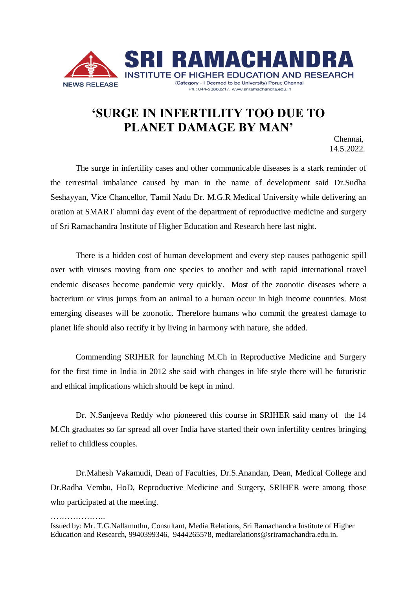

## **'SURGE IN INFERTILITY TOO DUE TO PLANET DAMAGE BY MAN'** Chennai,

14.5.2022.

The surge in infertility cases and other communicable diseases is a stark reminder of the terrestrial imbalance caused by man in the name of development said Dr.Sudha Seshayyan, Vice Chancellor, Tamil Nadu Dr. M.G.R Medical University while delivering an oration at SMART alumni day event of the department of reproductive medicine and surgery of Sri Ramachandra Institute of Higher Education and Research here last night.

There is a hidden cost of human development and every step causes pathogenic spill over with viruses moving from one species to another and with rapid international travel endemic diseases become pandemic very quickly. Most of the zoonotic diseases where a bacterium or virus jumps from an animal to a human occur in high income countries. Most emerging diseases will be zoonotic. Therefore humans who commit the greatest damage to planet life should also rectify it by living in harmony with nature, she added.

Commending SRIHER for launching M.Ch in Reproductive Medicine and Surgery for the first time in India in 2012 she said with changes in life style there will be futuristic and ethical implications which should be kept in mind.

Dr. N.Sanjeeva Reddy who pioneered this course in SRIHER said many of the 14 M.Ch graduates so far spread all over India have started their own infertility centres bringing relief to childless couples.

Dr.Mahesh Vakamudi, Dean of Faculties, Dr.S.Anandan, Dean, Medical College and Dr.Radha Vembu, HoD, Reproductive Medicine and Surgery, SRIHER were among those who participated at the meeting.

…………………

Issued by: Mr. T.G.Nallamuthu, Consultant, Media Relations, Sri Ramachandra Institute of Higher Education and Research, 9940399346, 9444265578, [mediarelations@sriramachandra.edu.in.](mailto:mediarelations@sriramachandra.edu.in)